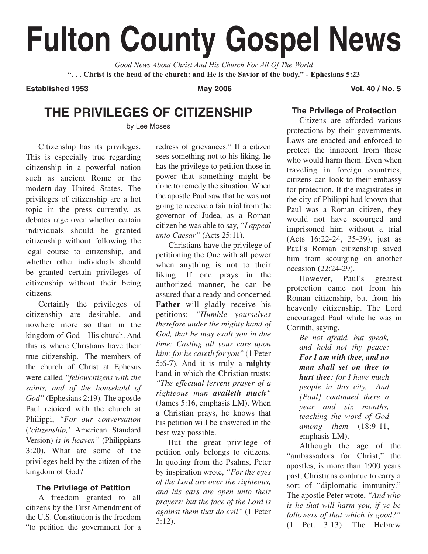# **Fulton County Gospel News**

*Good News About Christ And His Church For All Of The World* **". . . Christ is the head of the church: and He is the Savior of the body." - Ephesians 5:23**

**Established 1953 May 2006 Vol. 40 / No. 5**

# **THE PRIVILEGES OF CITIZENSHIP**

by Lee Moses

Citizenship has its privileges. This is especially true regarding citizenship in a powerful nation such as ancient Rome or the modern-day United States. The privileges of citizenship are a hot topic in the press currently, as debates rage over whether certain individuals should be granted citizenship without following the legal course to citizenship, and whether other individuals should be granted certain privileges of citizenship without their being citizens.

Certainly the privileges of citizenship are desirable, and nowhere more so than in the kingdom of God—His church. And this is where Christians have their true citizenship. The members of the church of Christ at Ephesus were called *"fellowcitizens with the saints, and of the household of God"* (Ephesians 2:19). The apostle Paul rejoiced with the church at Philippi, *"For our conversation* (*'citizenship,'* American Standard Version) *is in heaven"* (Philippians 3:20). What are some of the privileges held by the citizen of the kingdom of God?

## **The Privilege of Petition**

A freedom granted to all citizens by the First Amendment of the U.S. Constitution is the freedom "to petition the government for a redress of grievances." If a citizen sees something not to his liking, he has the privilege to petition those in power that something might be done to remedy the situation. When the apostle Paul saw that he was not going to receive a fair trial from the governor of Judea, as a Roman citizen he was able to say, *"I appeal unto Caesar"* (Acts 25:11).

Christians have the privilege of petitioning the One with all power when anything is not to their liking. If one prays in the authorized manner, he can be assured that a ready and concerned **Father** will gladly receive his petitions: *"Humble yourselves therefore under the mighty hand of God, that he may exalt you in due time: Casting all your care upon him; for he careth for you"* (1 Peter 5:6-7). And it is truly a **mighty** hand in which the Christian trusts: *"The effectual fervent prayer of a righteous man availeth much"* (James 5:16, emphasis LM). When a Christian prays, he knows that his petition will be answered in the best way possible.

But the great privilege of petition only belongs to citizens. In quoting from the Psalms, Peter by inspiration wrote, *"For the eyes of the Lord are over the righteous, and his ears are open unto their prayers: but the face of the Lord is against them that do evil"* (1 Peter 3:12).

# **The Privilege of Protection**

Citizens are afforded various protections by their governments. Laws are enacted and enforced to protect the innocent from those who would harm them. Even when traveling in foreign countries, citizens can look to their embassy for protection. If the magistrates in the city of Philippi had known that Paul was a Roman citizen, they would not have scourged and imprisoned him without a trial (Acts 16:22-24, 35-39), just as Paul's Roman citizenship saved him from scourging on another occasion (22:24-29).

However, Paul's greatest protection came not from his Roman citizenship, but from his heavenly citizenship. The Lord encouraged Paul while he was in Corinth, saying,

*Be not afraid, but speak, and hold not thy peace: For I am with thee, and no man shall set on thee to hurt thee: for I have much people in this city. And [Paul] continued there a year and six months, teaching the word of God among them* (18:9-11, emphasis LM).

Although the age of the "ambassadors for Christ," the apostles, is more than 1900 years past, Christians continue to carry a sort of "diplomatic immunity." The apostle Peter wrote, *"And who is he that will harm you, if ye be followers of that which is good?"* (1 Pet. 3:13). The Hebrew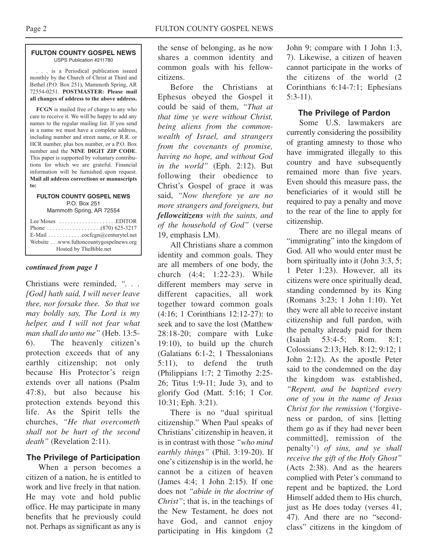#### **FULTON COUNTY GOSPEL NEWS** USPS Publication #211780

. . . is a Periodical publication issued monthly by the Church of Christ at Third and Bethel (P.O. Box 251), Mammoth Spring, AR 72554-0251. **POSTMASTER: Please mail all changes of address to the above address.**

**FCGN** is mailed free of charge to any who care to receive it. We will be happy to add any names to the regular mailing list. If you send in a name we must have a complete address, including number and street name, or R.R. or HCR number, plus box number, or a P.O. Box number and the **NINE DIGIT ZIP CODE**. This paper is supported by voluntary contributions for which we are grateful. Financial information will be furnished upon request. **Mail all address corrections or manuscripts to:**

#### **FULTON COUNTY GOSPEL NEWS** P.O. Box 251

Mammoth Spring, AR 72554

| Lee Moses $\dots\dots\dots\dots\dots\dots$ . EDITOR              |  |
|------------------------------------------------------------------|--|
| E-Mail $\ldots \ldots \ldots \ldots$ cocfcgn@centurytel.net      |  |
| Website www.fultoncountygospelnews.org<br>Hosted by TheBible.net |  |

#### *continued from page 1*

Christians were reminded, *". . . [God] hath said, I will never leave thee, nor forsake thee. So that we may boldly say, The Lord is my helper, and I will not fear what man shall do unto me"* (Heb. 13:5- 6). The heavenly citizen's protection exceeds that of any earthly citizenship; not only because His Protector's reign extends over all nations (Psalm 47:8), but also because his protection extends beyond this life. As the Spirit tells the churches, *"He that overcometh shall not be hurt of the second death"* (Revelation 2:11).

## **The Privilege of Participation**

When a person becomes a citizen of a nation, he is entitled to work and live freely in that nation. He may vote and hold public office. He may participate in many benefits that he previously could not. Perhaps as significant as any is

the sense of belonging, as he now shares a common identity and common goals with his fellowcitizens.

Before the Christians at Ephesus obeyed the Gospel it could be said of them, *"That at that time ye were without Christ, being aliens from the commonwealth of Israel, and strangers from the covenants of promise, having no hope, and without God in the world"* (Eph. 2:12). But following their obedience to Christ's Gospel of grace it was said, *"Now therefore ye are no more strangers and foreigners, but fellowcitizens with the saints, and of the household of God"* (verse 19, emphasis LM).

All Christians share a common identity and common goals. They are all members of one body, the church (4:4; 1:22-23). While different members may serve in different capacities, all work together toward common goals (4:16; 1 Corinthians 12:12-27): to seek and to save the lost (Matthew 28:18-20; compare with Luke 19:10), to build up the church (Galatians 6:1-2; 1 Thessalonians 5:11), to defend the truth (Philippians 1:7; 2 Timothy 2:25- 26; Titus 1:9-11; Jude 3), and to glorify God (Matt. 5:16; 1 Cor. 10:31; Eph. 3:21).

There is no "dual spiritual citizenship." When Paul speaks of Christians' citizenship in heaven, it is in contrast with those *"who mind earthly things"* (Phil. 3:19-20). If one's citizenship is in the world, he cannot be a citizen of heaven (James 4:4; 1 John 2:15). If one does not *"abide in the doctrine of Christ"*; that is, in the teachings of the New Testament, he does not have God, and cannot enjoy participating in His kingdom (2

John 9; compare with 1 John 1:3, 7). Likewise, a citizen of heaven cannot participate in the works of the citizens of the world (2 Corinthians 6:14-7:1; Ephesians 5:3-11).

#### **The Privilege of Pardon**

Some U.S. lawmakers are currently considering the possibility of granting amnesty to those who have immigrated illegally to this country and have subsequently remained more than five years. Even should this measure pass, the beneficiaries of it would still be required to pay a penalty and move to the rear of the line to apply for citizenship.

There are no illegal means of "immigrating" into the kingdom of God. All who would enter must be born spiritually into it (John 3:3, 5; 1 Peter 1:23). However, all its citizens were once spiritually dead, standing condemned by its King (Romans 3:23; 1 John 1:10). Yet they were all able to receive instant citizenship and full pardon, with the penalty already paid for them (Isaiah 53:4-5; Rom. 8:1; Colossians 2:13; Heb. 8:12; 9:12; 1 John 2:12). As the apostle Peter said to the condemned on the day the kingdom was established, *"Repent, and be baptized every one of you in the name of Jesus Christ for the remission* ('forgiveness or pardon, of sins [letting them go as if they had never been committed], remission of the penalty'1) *of sins, and ye shall receive the gift of the Holy Ghost"* (Acts 2:38). And as the hearers complied with Peter's command to repent and be baptized, the Lord Himself added them to His church, just as He does today (verses 41, 47). And there are no "secondclass" citizens in the kingdom of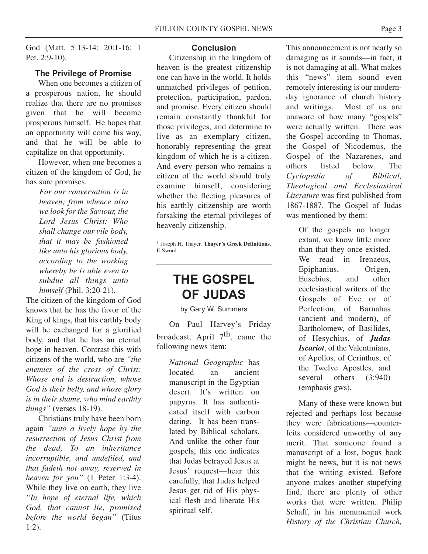God (Matt. 5:13-14; 20:1-16; 1 Pet. 2:9-10).

#### **The Privilege of Promise**

When one becomes a citizen of a prosperous nation, he should realize that there are no promises given that he will become prosperous himself. He hopes that an opportunity will come his way, and that he will be able to capitalize on that opportunity.

However, when one becomes a citizen of the kingdom of God, he has sure promises.

> *For our conversation is in heaven; from whence also we look for the Saviour, the Lord Jesus Christ: Who shall change our vile body, that it may be fashioned like unto his glorious body, according to the working whereby he is able even to subdue all things unto himself* (Phil. 3:20-21).

The citizen of the kingdom of God knows that he has the favor of the King of kings, that his earthly body will be exchanged for a glorified body, and that he has an eternal hope in heaven. Contrast this with citizens of the world, who are *"the enemies of the cross of Christ: Whose end is destruction, whose God is their belly, and whose glory is in their shame, who mind earthly things"* (verses 18-19).

Christians truly have been born again *"unto a lively hope by the resurrection of Jesus Christ from the dead, To an inheritance incorruptible, and undefiled, and that fadeth not away, reserved in heaven for you"* (1 Peter 1:3-4). While they live on earth, they live *"In hope of eternal life, which God, that cannot lie, promised before the world began"* (Titus 1:2).

#### **Conclusion**

Citizenship in the kingdom of heaven is the greatest citizenship one can have in the world. It holds unmatched privileges of petition, protection, participation, pardon, and promise. Every citizen should remain constantly thankful for those privileges, and determine to live as an exemplary citizen, honorably representing the great kingdom of which he is a citizen. And every person who remains a citizen of the world should truly examine himself, considering whether the fleeting pleasures of his earthly citizenship are worth forsaking the eternal privileges of heavenly citizenship.

1 Joseph H. Thayer, **Thayer's Greek Definitions**, E-Sword.

# **THE GOSPEL OF JUDAS**

by Gary W. Summers

On Paul Harvey's Friday broadcast, April  $7<sup>th</sup>$ , came the following news item:

*National Geographic* has located an ancient manuscript in the Egyptian desert. It's written on papyrus. It has authenticated itself with carbon dating. It has been translated by Biblical scholars. And unlike the other four gospels, this one indicates that Judas betrayed Jesus at Jesus' request—hear this carefully, that Judas helped Jesus get rid of His physical flesh and liberate His spiritual self.

This announcement is not nearly so damaging as it sounds—in fact, it is not damaging at all. What makes this "news" item sound even remotely interesting is our modernday ignorance of church history and writings. Most of us are unaware of how many "gospels" were actually written. There was the Gospel according to Thomas, the Gospel of Nicodemus, the Gospel of the Nazarenes, and others listed below. The *Cyclopedia of Biblical, Theological and Ecclesiastical Literature* was first published from 1867-1887. The Gospel of Judas was mentioned by them:

> Of the gospels no longer extant, we know little more than that they once existed. We read in Irenaeus, Epiphanius, Origen, Eusebius, and other ecclesiastical writers of the Gospels of Eve or of Perfection, of Barnabas (ancient and modern), of Bartholomew, of Basilides, of Hesychius, of *Judas Iscariot*, of the Valentinians, of Apollos, of Cerinthus, of the Twelve Apostles, and several others (3:940) (emphasis gws).

Many of these were known but rejected and perhaps lost because they were fabrications—counterfeits considered unworthy of any merit. That someone found a manuscript of a lost, bogus book might be news, but it is not news that the writing existed. Before anyone makes another stupefying find, there are plenty of other works that were written. Philip Schaff, in his monumental work *History of the Christian Church,*